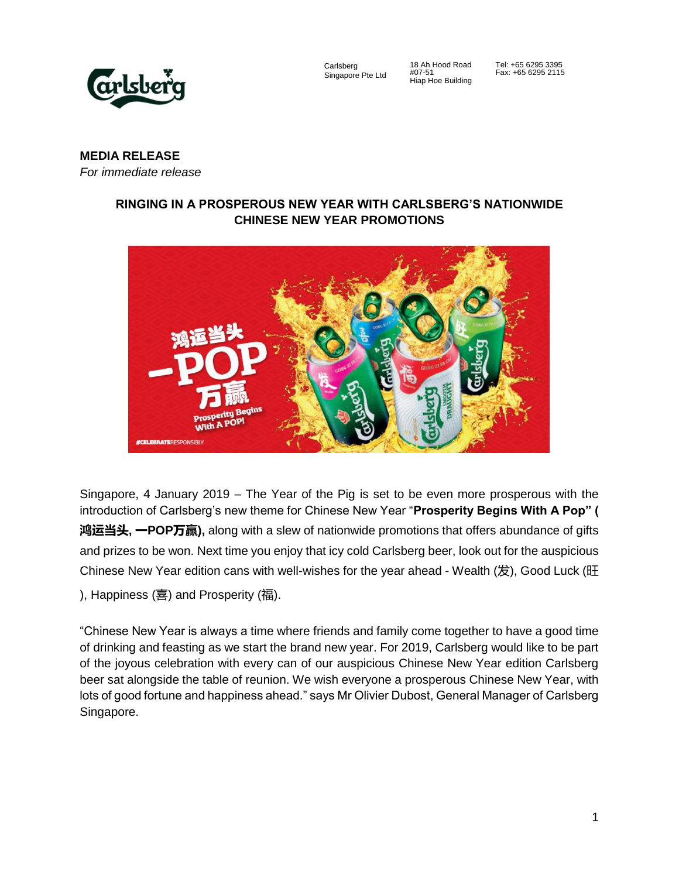

Carlsberg Singapore Pte Ltd

18 Ah Hood Road #07-51 Hiap Hoe Building

Tel: +65 6295 3395 Fax: +65 6295 2115

# **MEDIA RELEASE**

*For immediate release*

## **RINGING IN A PROSPEROUS NEW YEAR WITH CARLSBERG'S NATIONWIDE CHINESE NEW YEAR PROMOTIONS**



Singapore, 4 January 2019 – The Year of the Pig is set to be even more prosperous with the introduction of Carlsberg's new theme for Chinese New Year "**Prosperity Begins With A Pop" ( 鸿运当头, 一POP万赢),** along with a slew of nationwide promotions that offers abundance of gifts and prizes to be won. Next time you enjoy that icy cold Carlsberg beer, look out for the auspicious Chinese New Year edition cans with well-wishes for the year ahead - Wealth  $(\&)$ , Good Luck  $(E)$ ), Happiness (喜) and Prosperity (福).

"Chinese New Year is always a time where friends and family come together to have a good time of drinking and feasting as we start the brand new year. For 2019, Carlsberg would like to be part of the joyous celebration with every can of our auspicious Chinese New Year edition Carlsberg beer sat alongside the table of reunion. We wish everyone a prosperous Chinese New Year, with lots of good fortune and happiness ahead." says Mr Olivier Dubost, General Manager of Carlsberg Singapore.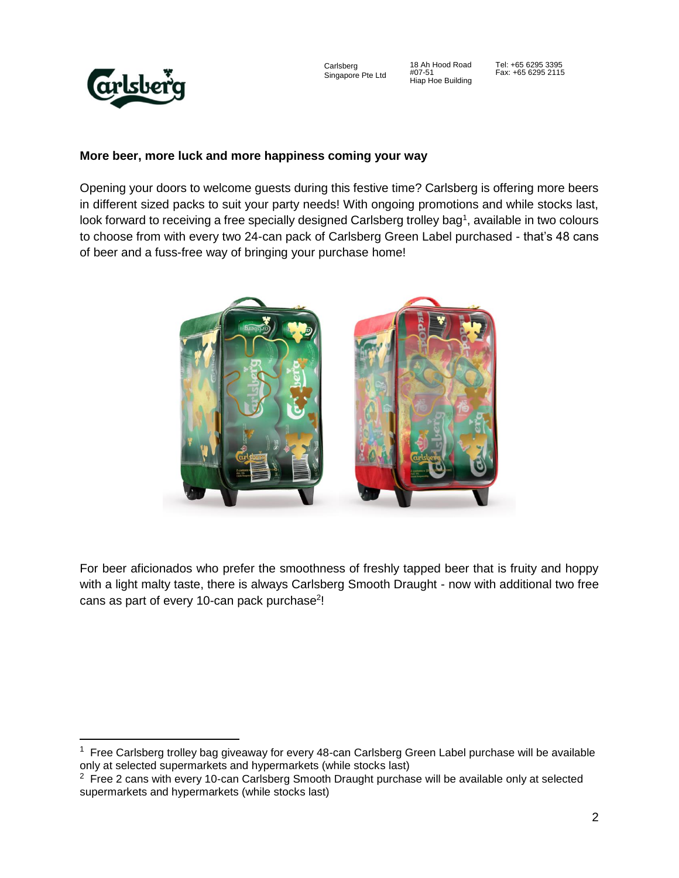

Carlsberg Singapore Pte Ltd

18 Ah Hood Road #07-51 Hiap Hoe Building

Tel: +65 6295 3395 Fax: +65 6295 2115

## **More beer, more luck and more happiness coming your way**

Opening your doors to welcome guests during this festive time? Carlsberg is offering more beers in different sized packs to suit your party needs! With ongoing promotions and while stocks last, look forward to receiving a free specially designed Carlsberg trolley bag<sup>1</sup>, available in two colours to choose from with every two 24-can pack of Carlsberg Green Label purchased - that's 48 cans of beer and a fuss-free way of bringing your purchase home!



For beer aficionados who prefer the smoothness of freshly tapped beer that is fruity and hoppy with a light malty taste, there is always Carlsberg Smooth Draught - now with additional two free cans as part of every 10-can pack purchase<sup>2</sup>!

<sup>&</sup>lt;sup>1</sup> Free Carlsberg trolley bag giveaway for every 48-can Carlsberg Green Label purchase will be available only at selected supermarkets and hypermarkets (while stocks last)

 $2$  Free 2 cans with every 10-can Carlsberg Smooth Draught purchase will be available only at selected supermarkets and hypermarkets (while stocks last)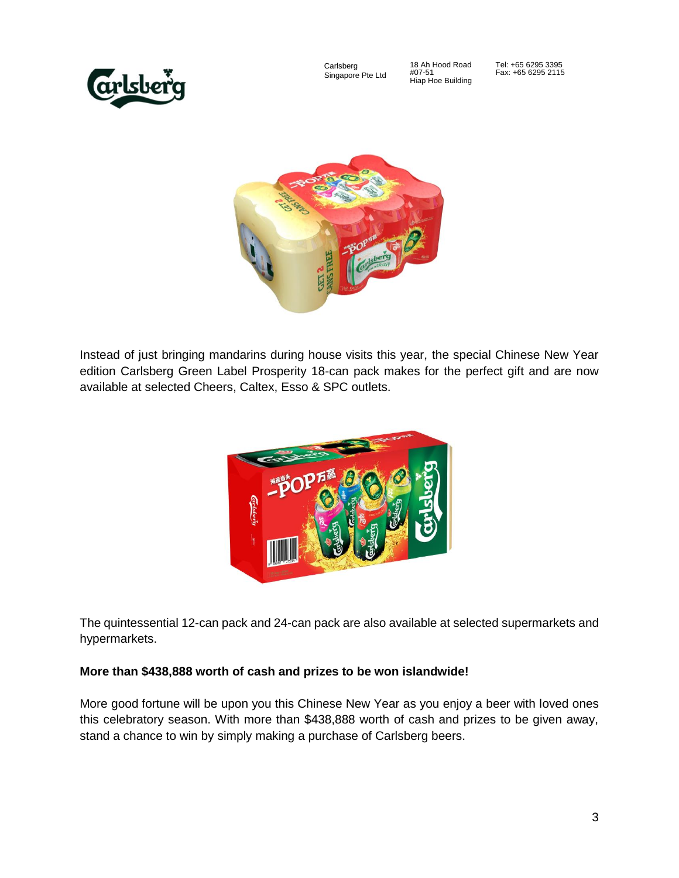

Carlsberg Singapore Pte Ltd

18 Ah Hood Road #07-51 Hiap Hoe Building Tel: +65 6295 3395 Fax: +65 6295 2115



Instead of just bringing mandarins during house visits this year, the special Chinese New Year edition Carlsberg Green Label Prosperity 18-can pack makes for the perfect gift and are now available at selected Cheers, Caltex, Esso & SPC outlets.



The quintessential 12-can pack and 24-can pack are also available at selected supermarkets and hypermarkets.

#### **More than \$438,888 worth of cash and prizes to be won islandwide!**

More good fortune will be upon you this Chinese New Year as you enjoy a beer with loved ones this celebratory season. With more than \$438,888 worth of cash and prizes to be given away, stand a chance to win by simply making a purchase of Carlsberg beers.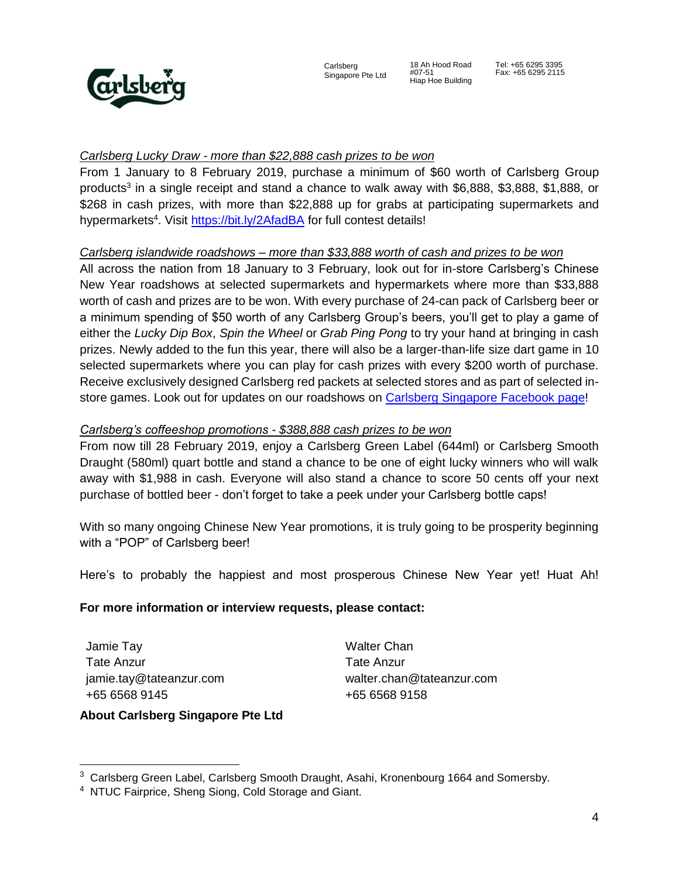

#07-51

#### *Carlsberg Lucky Draw - more than \$22,888 cash prizes to be won*

From 1 January to 8 February 2019, purchase a minimum of \$60 worth of Carlsberg Group products<sup>3</sup> in a single receipt and stand a chance to walk away with \$6,888, \$3,888, \$1,888, or \$268 in cash prizes, with more than \$22,888 up for grabs at participating supermarkets and hypermarkets<sup>4</sup>. Visit<https://bit.ly/2AfadBA> for full contest details!

## *Carlsberg islandwide roadshows – more than \$33,888 worth of cash and prizes to be won*

All across the nation from 18 January to 3 February, look out for in-store Carlsberg's Chinese New Year roadshows at selected supermarkets and hypermarkets where more than \$33,888 worth of cash and prizes are to be won. With every purchase of 24-can pack of Carlsberg beer or a minimum spending of \$50 worth of any Carlsberg Group's beers, you'll get to play a game of either the *Lucky Dip Box*, *Spin the Wheel* or *Grab Ping Pong* to try your hand at bringing in cash prizes. Newly added to the fun this year, there will also be a larger-than-life size dart game in 10 selected supermarkets where you can play for cash prizes with every \$200 worth of purchase. Receive exclusively designed Carlsberg red packets at selected stores and as part of selected instore games. Look out for updates on our roadshows on [Carlsberg Singapore Facebook](https://www.facebook.com/CarlsbergSingapore) page!

## *Carlsberg's coffeeshop promotions - \$388,888 cash prizes to be won*

From now till 28 February 2019, enjoy a Carlsberg Green Label (644ml) or Carlsberg Smooth Draught (580ml) quart bottle and stand a chance to be one of eight lucky winners who will walk away with \$1,988 in cash. Everyone will also stand a chance to score 50 cents off your next purchase of bottled beer - don't forget to take a peek under your Carlsberg bottle caps!

With so many ongoing Chinese New Year promotions, it is truly going to be prosperity beginning with a "POP" of Carlsberg beer!

Here's to probably the happiest and most prosperous Chinese New Year yet! Huat Ah!

#### **For more information or interview requests, please contact:**

Jamie Tay Tate Anzur jamie.tay@tateanzur.com +65 6568 9145

 $\overline{a}$ 

Walter Chan Tate Anzur walter.chan@tateanzur.com +65 6568 9158

# **About Carlsberg Singapore Pte Ltd**

<sup>&</sup>lt;sup>3</sup> Carlsberg Green Label, Carlsberg Smooth Draught, Asahi, Kronenbourg 1664 and Somersby.

<sup>&</sup>lt;sup>4</sup> NTUC Fairprice, Sheng Siong, Cold Storage and Giant.